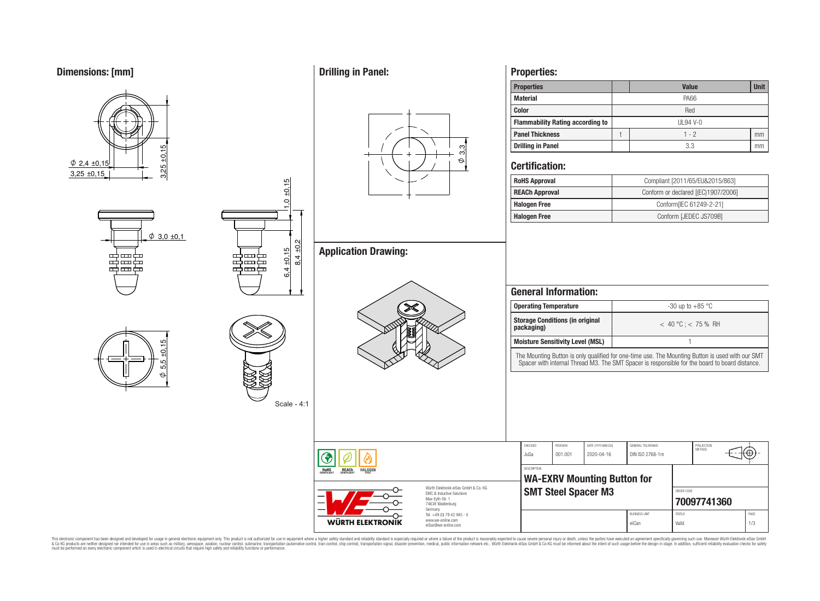**Dimensions: [mm]**



# **Properties:**

| <b>Properties</b>                       |           | <b>Value</b> | <b>Unit</b> |  |  |  |
|-----------------------------------------|-----------|--------------|-------------|--|--|--|
| <b>Material</b>                         |           | <b>PA66</b>  |             |  |  |  |
| <b>Color</b>                            | Red       |              |             |  |  |  |
| <b>Flammability Rating according to</b> | $UL94V-0$ |              |             |  |  |  |
| <b>Panel Thickness</b>                  |           | $1 - 2$      | mm          |  |  |  |
| Drilling in Panel                       |           | 3.3          | mm          |  |  |  |

# **Certification:**

 $\phi$  3,3

| <b>RoHS Approval</b>  | Compliant [2011/65/EU&2015/863]     |
|-----------------------|-------------------------------------|
| <b>REACh Approval</b> | Conform or declared [(EC)1907/2006] |
| <b>Halogen Free</b>   | Conform[IEC 61249-2-21]             |
| <b>Halogen Free</b>   | Conform [JEDEC JS709B]              |

|                                                                                                          | <b>Operating Temperature</b>                                                                    |                            |                                    |                                                                                                                                                                                                 |               | -30 up to $+85$ °C          |      |  |  |
|----------------------------------------------------------------------------------------------------------|-------------------------------------------------------------------------------------------------|----------------------------|------------------------------------|-------------------------------------------------------------------------------------------------------------------------------------------------------------------------------------------------|---------------|-----------------------------|------|--|--|
|                                                                                                          | <b>Storage Conditions (in original</b><br>packaging)<br><b>Moisture Sensitivity Level (MSL)</b> |                            |                                    | $< 40 °C$ ; $< 75 %$ RH                                                                                                                                                                         |               |                             |      |  |  |
|                                                                                                          |                                                                                                 |                            |                                    |                                                                                                                                                                                                 |               |                             |      |  |  |
|                                                                                                          |                                                                                                 |                            |                                    | The Mounting Button is only qualified for one-time use. The Mounting Button is used with our SMT Spacer with internal Thread M3. The SMT Spacer is responsible for the board to board distance. |               |                             |      |  |  |
|                                                                                                          |                                                                                                 |                            |                                    |                                                                                                                                                                                                 |               |                             |      |  |  |
|                                                                                                          | CHECKED<br>JuSa                                                                                 | REVISION<br>001.001        | DATE (YYYY-MM-DD)<br>2020-04-16    | GENERAL TOLERANCE<br>DIN ISO 2768-1m                                                                                                                                                            |               | PROJECTION<br><b>METHOD</b> |      |  |  |
| <b>HALOGEN</b>                                                                                           | <b>DESCRIPTION</b>                                                                              |                            |                                    |                                                                                                                                                                                                 |               |                             |      |  |  |
|                                                                                                          |                                                                                                 |                            | <b>WA-EXRV Mounting Button for</b> |                                                                                                                                                                                                 |               |                             |      |  |  |
| Würth Flektronik eiSos GmbH & Co. KG<br>FMC & Inductive Solutions<br>Max-Eyth-Str. 1<br>74638 Waldenburg |                                                                                                 | <b>SMT Steel Spacer M3</b> |                                    |                                                                                                                                                                                                 | ORDER CODE    | 70097741360                 |      |  |  |
| Germany<br>Tel. +49 (0) 79 42 945 - 0<br><b>WÜRTH ELEKTRONI</b><br>www.we-online.com                     |                                                                                                 |                            |                                    | <b>BUSINESS UNIT</b>                                                                                                                                                                            | <b>STATUS</b> |                             | PAGE |  |  |

This electronic component has been designed and developed for usage in general electronic equipment only. This product is not authorized for subserved requipment where a higher selection equipment where a higher selection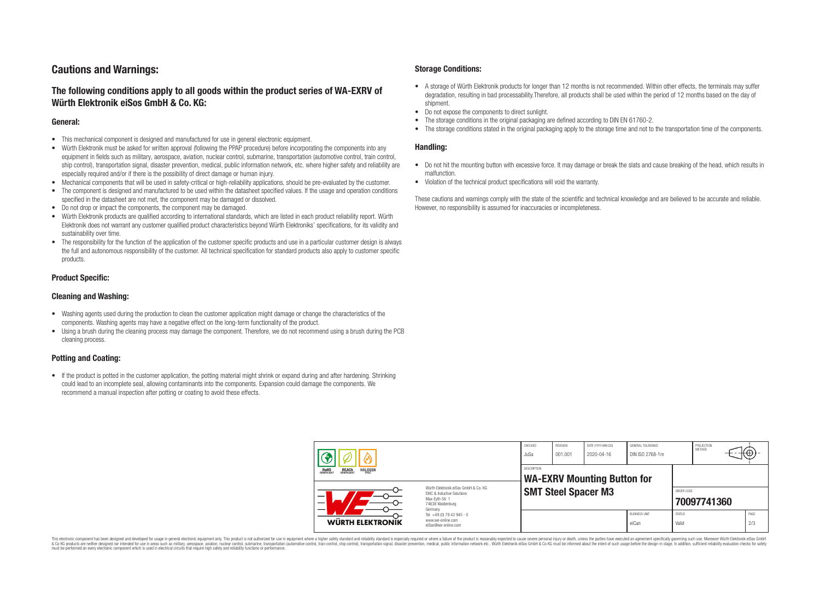# **Cautions and Warnings:**

# **The following conditions apply to all goods within the product series of WA-EXRV of Würth Elektronik eiSos GmbH & Co. KG:**

#### **General:**

- This mechanical component is designed and manufactured for use in general electronic equipment.
- Würth Elektronik must be asked for written approval (following the PPAP procedure) before incorporating the components into any equipment in fields such as military, aerospace, aviation, nuclear control, submarine, transportation (automotive control, train control, ship control), transportation signal, disaster prevention, medical, public information network, etc. where higher safety and reliability are especially required and/or if there is the possibility of direct damage or human injury.
- Mechanical components that will be used in safety-critical or high-reliability applications, should be pre-evaluated by the customer.
- The component is designed and manufactured to be used within the datasheet specified values. If the usage and operation conditions specified in the datasheet are not met, the component may be damaged or dissolved.
- Do not drop or impact the components, the component may be damaged.
- Würth Elektronik products are qualified according to international standards, which are listed in each product reliability report. Würth Elektronik does not warrant any customer qualified product characteristics beyond Würth Elektroniks' specifications, for its validity and sustainability over time.
- The responsibility for the function of the application of the customer specific products and use in a particular customer design is always the full and autonomous responsibility of the customer. All technical specification for standard products also apply to customer specific products.

## **Product Specific:**

### **Cleaning and Washing:**

- Washing agents used during the production to clean the customer application might damage or change the characteristics of the components. Washing agents may have a negative effect on the long-term functionality of the product.
- Using a brush during the cleaning process may damage the component. Therefore, we do not recommend using a brush during the PCB cleaning process.

# **Potting and Coating:**

• If the product is potted in the customer application, the potting material might shrink or expand during and after hardening. Shrinking could lead to an incomplete seal, allowing contaminants into the components. Expansion could damage the components. We recommend a manual inspection after potting or coating to avoid these effects.

## **Storage Conditions:**

- A storage of Würth Elektronik products for longer than 12 months is not recommended. Within other effects, the terminals may suffer degradation, resulting in bad processability.Therefore, all products shall be used within the period of 12 months based on the day of shipment.
- Do not expose the components to direct sunlight.<br>• The storage conditions in the original packaging
- The storage conditions in the original packaging are defined according to DIN EN 61760-2.
- The storage conditions stated in the original packaging apply to the storage time and not to the transportation time of the components.

### **Handling:**

- Do not hit the mounting button with excessive force. It may damage or break the slats and cause breaking of the head, which results in malfunction.
- Violation of the technical product specifications will void the warranty.

These cautions and warnings comply with the state of the scientific and technical knowledge and are believed to be accurate and reliable. However, no responsibility is assumed for inaccuracies or incompleteness.

| REACH<br>COMPLIANT<br><b>HALOGEN</b><br><b>ROHS</b><br>COMPLIANT<br>Würth Flektronik eiSos GmbH & Co. KG<br>FMC & Inductive Solutions<br>–<br>Max-Evth-Str. 1<br>74638 Waldenburg<br>Germany |                                                                        | CHECKED<br>JuSa    | <b>REVISION</b><br>001.001 | DATE (YYYY-MM-DD)<br>2020-04-16    | GENERAL TOLERANCE<br>DIN ISO 2768-1m |                           | PROJECTION<br><b>METHOD</b> |             |
|----------------------------------------------------------------------------------------------------------------------------------------------------------------------------------------------|------------------------------------------------------------------------|--------------------|----------------------------|------------------------------------|--------------------------------------|---------------------------|-----------------------------|-------------|
|                                                                                                                                                                                              |                                                                        | <b>DESCRIPTION</b> |                            | <b>WA-EXRV Mounting Button for</b> |                                      |                           |                             |             |
|                                                                                                                                                                                              |                                                                        |                    | <b>SMT Steel Spacer M3</b> |                                    |                                      | ORDER CODE<br>70097741360 |                             |             |
| WÜRTH ELEKTRONIK                                                                                                                                                                             | Tel. +49 (0) 79 42 945 - 0<br>www.we-online.com<br>eiSos@we-online.com |                    |                            |                                    | <b>BUSINESS UNIT</b><br>eiCan        | <b>STATUS</b><br>Valid    |                             | PAGE<br>2/3 |

This electronic component has been designed and developed for usage in general electronic equipment only. This product is not authorized for use in equipment where a higher safety standard and reliability standard si espec & Ook product a label and the membed of the seasuch as marked and as which such a membed and the such assume that income in the seasuch and the simulation and the such assume that include to the such a membed and the such